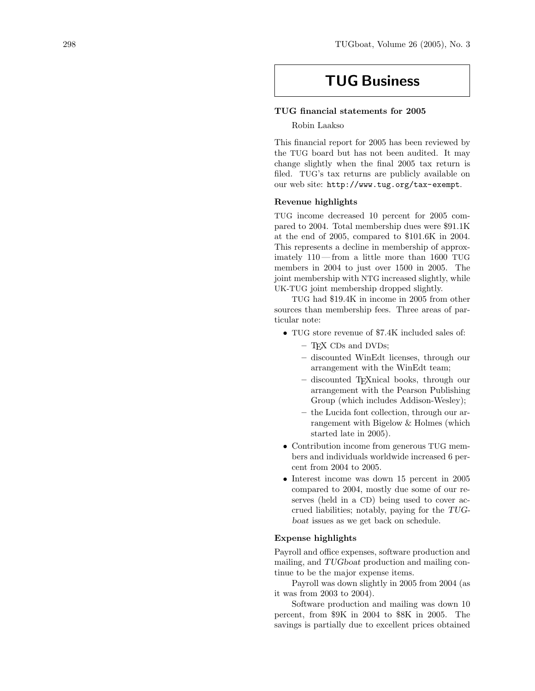# TUG Business

# TUG financial statements for 2005

Robin Laakso

This financial report for 2005 has been reviewed by the TUG board but has not been audited. It may change slightly when the final 2005 tax return is filed. TUG's tax returns are publicly available on our web site: <http://www.tug.org/tax-exempt> .

# Revenue highlights

TUG income decreased 10 percent for 2005 compared to 2004. Total membership dues were \$91.1K at the end of 2005, compared to \$101.6K in 2004. This represents a decline in membership of approximately 110 — from a little more than 1600 TUG members in 2004 to just over 1500 in 2005. The joint membership with NTG increased slightly, while UK-TUG joint membership dropped slightly.

TUG had \$19.4K in income in 2005 from other sources than membership fees. Three areas of particular note:

- TUG store revenue of \$7.4K included sales of:
	- TEX CDs and DVDs;
	- discounted WinEdt licenses, through our arrangement with the WinEdt team;
	- discounted TEXnical books, through our arrangement with the Pearson Publishing Group (which includes Addison-Wesley);
	- the Lucida font collection, through our arrangement with Bigelow & Holmes (which started late in 2005).
- Contribution income from generous TUG members and individuals worldwide increased 6 percent from 2004 to 2005.
- Interest income was down 15 percent in 2005 compared to 2004, mostly due some of our reserves (held in a CD) being used to cover accrued liabilities; notably, paying for the TUGboat issues as we get back on schedule.

# Expense highlights

Payroll and office expenses, software production and mailing, and TUGboat production and mailing continue to be the major expense items.

Payroll was down slightly in 2005 from 2004 (as it was from 2003 to 2004).

Software production and mailing was down 10 percent, from \$9K in 2004 to \$8K in 2005. The savings is partially due to excellent prices obtained